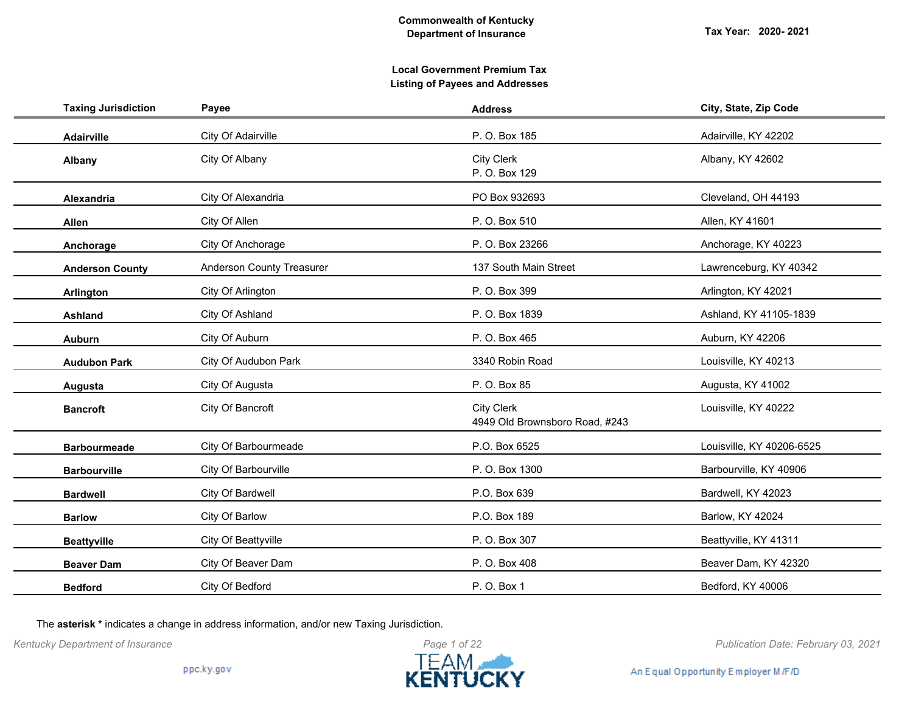## **Local Government Premium Tax Listing of Payees and Addresses**

| <b>Taxing Jurisdiction</b> | Payee                            | <b>Address</b>                                      | City, State, Zip Code     |
|----------------------------|----------------------------------|-----------------------------------------------------|---------------------------|
| Adairville                 | City Of Adairville               | P. O. Box 185                                       | Adairville, KY 42202      |
| Albany                     | City Of Albany                   | <b>City Clerk</b><br>P. O. Box 129                  | Albany, KY 42602          |
| <b>Alexandria</b>          | City Of Alexandria               | PO Box 932693                                       | Cleveland, OH 44193       |
| Allen                      | City Of Allen                    | P. O. Box 510                                       | Allen, KY 41601           |
| Anchorage                  | City Of Anchorage                | P. O. Box 23266                                     | Anchorage, KY 40223       |
| <b>Anderson County</b>     | <b>Anderson County Treasurer</b> | 137 South Main Street                               | Lawrenceburg, KY 40342    |
| Arlington                  | City Of Arlington                | P. O. Box 399                                       | Arlington, KY 42021       |
| Ashland                    | City Of Ashland                  | P. O. Box 1839                                      | Ashland, KY 41105-1839    |
| <b>Auburn</b>              | City Of Auburn                   | P. O. Box 465                                       | Auburn, KY 42206          |
| <b>Audubon Park</b>        | City Of Audubon Park             | 3340 Robin Road                                     | Louisville, KY 40213      |
| Augusta                    | City Of Augusta                  | P. O. Box 85                                        | Augusta, KY 41002         |
| <b>Bancroft</b>            | City Of Bancroft                 | <b>City Clerk</b><br>4949 Old Brownsboro Road, #243 | Louisville, KY 40222      |
| <b>Barbourmeade</b>        | City Of Barbourmeade             | P.O. Box 6525                                       | Louisville, KY 40206-6525 |
| <b>Barbourville</b>        | City Of Barbourville             | P. O. Box 1300                                      | Barbourville, KY 40906    |
| <b>Bardwell</b>            | City Of Bardwell                 | P.O. Box 639                                        | Bardwell, KY 42023        |
| <b>Barlow</b>              | City Of Barlow                   | P.O. Box 189                                        | Barlow, KY 42024          |
| <b>Beattyville</b>         | City Of Beattyville              | P. O. Box 307                                       | Beattyville, KY 41311     |
| <b>Beaver Dam</b>          | City Of Beaver Dam               | P. O. Box 408                                       | Beaver Dam, KY 42320      |
| <b>Bedford</b>             | City Of Bedford                  | P. O. Box 1                                         | Bedford, KY 40006         |

The **asterisk \*** indicates a change in address information, and/or new Taxing Jurisdiction.



*Kentucky Department of Insurance Publication Date: February 03, 2021*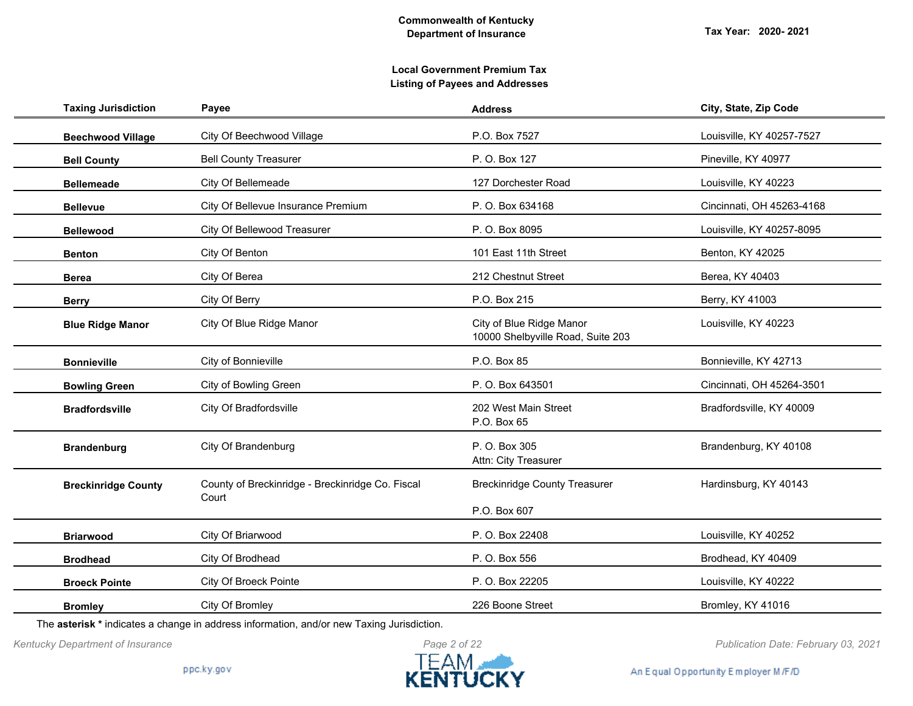| <b>Taxing Jurisdiction</b> | Payee                                                     | <b>Address</b>                                                | City, State, Zip Code     |
|----------------------------|-----------------------------------------------------------|---------------------------------------------------------------|---------------------------|
| <b>Beechwood Village</b>   | City Of Beechwood Village                                 | P.O. Box 7527                                                 | Louisville, KY 40257-7527 |
| <b>Bell County</b>         | <b>Bell County Treasurer</b>                              | P. O. Box 127                                                 | Pineville, KY 40977       |
| <b>Bellemeade</b>          | City Of Bellemeade                                        | 127 Dorchester Road                                           | Louisville, KY 40223      |
| <b>Bellevue</b>            | City Of Bellevue Insurance Premium                        | P. O. Box 634168                                              | Cincinnati, OH 45263-4168 |
| <b>Bellewood</b>           | City Of Bellewood Treasurer                               | P. O. Box 8095                                                | Louisville, KY 40257-8095 |
| <b>Benton</b>              | City Of Benton                                            | 101 East 11th Street                                          | Benton, KY 42025          |
| <b>Berea</b>               | City Of Berea                                             | 212 Chestnut Street                                           | Berea, KY 40403           |
| <b>Berry</b>               | City Of Berry                                             | P.O. Box 215                                                  | Berry, KY 41003           |
| <b>Blue Ridge Manor</b>    | City Of Blue Ridge Manor                                  | City of Blue Ridge Manor<br>10000 Shelbyville Road, Suite 203 | Louisville, KY 40223      |
| <b>Bonnieville</b>         | City of Bonnieville                                       | P.O. Box 85                                                   | Bonnieville, KY 42713     |
| <b>Bowling Green</b>       | City of Bowling Green                                     | P. O. Box 643501                                              | Cincinnati, OH 45264-3501 |
| <b>Bradfordsville</b>      | <b>City Of Bradfordsville</b>                             | 202 West Main Street<br>P.O. Box 65                           | Bradfordsville, KY 40009  |
| <b>Brandenburg</b>         | City Of Brandenburg                                       | P. O. Box 305<br>Attn: City Treasurer                         | Brandenburg, KY 40108     |
| <b>Breckinridge County</b> | County of Breckinridge - Breckinridge Co. Fiscal<br>Court | <b>Breckinridge County Treasurer</b>                          | Hardinsburg, KY 40143     |
|                            |                                                           | P.O. Box 607                                                  |                           |
| <b>Briarwood</b>           | City Of Briarwood                                         | P. O. Box 22408                                               | Louisville, KY 40252      |
| <b>Brodhead</b>            | City Of Brodhead                                          | P. O. Box 556                                                 | Brodhead, KY 40409        |
| <b>Broeck Pointe</b>       | City Of Broeck Pointe                                     | P. O. Box 22205                                               | Louisville, KY 40222      |
| <b>Bromley</b>             | City Of Bromley                                           | 226 Boone Street                                              | Bromley, KY 41016         |

The **asterisk \*** indicates a change in address information, and/or new Taxing Jurisdiction.



*Kentucky Department of Insurance Publication Date: February 03, 2021*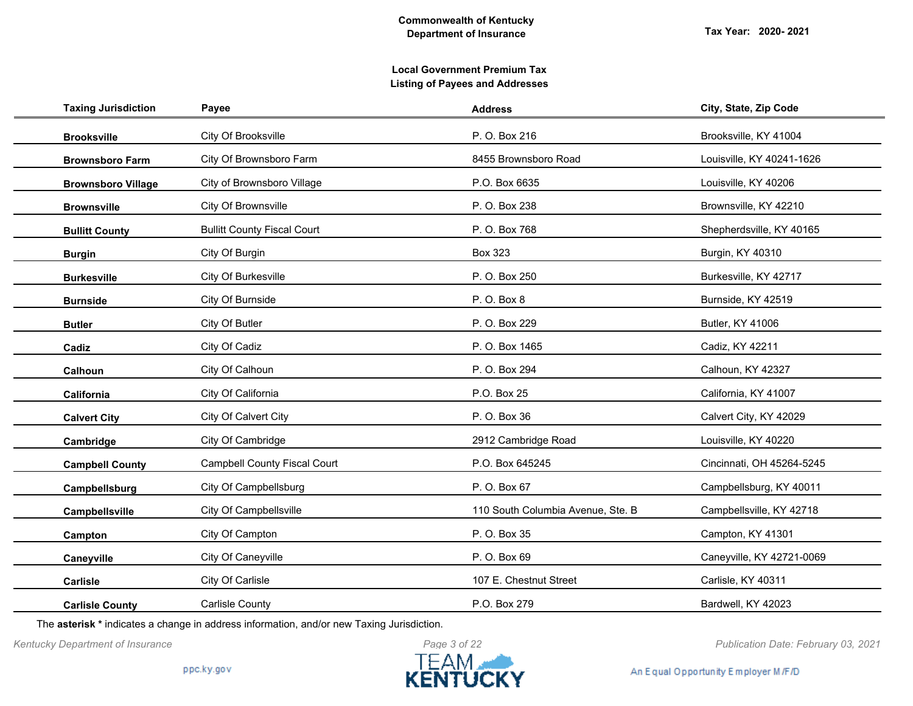| <b>Taxing Jurisdiction</b> | Payee                               | <b>Address</b>                    | City, State, Zip Code     |
|----------------------------|-------------------------------------|-----------------------------------|---------------------------|
| <b>Brooksville</b>         | City Of Brooksville                 | P. O. Box 216                     | Brooksville, KY 41004     |
| <b>Brownsboro Farm</b>     | City Of Brownsboro Farm             | 8455 Brownsboro Road              | Louisville, KY 40241-1626 |
| <b>Brownsboro Village</b>  | City of Brownsboro Village          | P.O. Box 6635                     | Louisville, KY 40206      |
| <b>Brownsville</b>         | City Of Brownsville                 | P. O. Box 238                     | Brownsville, KY 42210     |
| <b>Bullitt County</b>      | <b>Bullitt County Fiscal Court</b>  | P. O. Box 768                     | Shepherdsville, KY 40165  |
| <b>Burgin</b>              | City Of Burgin                      | <b>Box 323</b>                    | Burgin, KY 40310          |
| <b>Burkesville</b>         | City Of Burkesville                 | P. O. Box 250                     | Burkesville, KY 42717     |
| <b>Burnside</b>            | City Of Burnside                    | P. O. Box 8                       | Burnside, KY 42519        |
| <b>Butler</b>              | City Of Butler                      | P. O. Box 229                     | Butler, KY 41006          |
| Cadiz                      | City Of Cadiz                       | P. O. Box 1465                    | Cadiz, KY 42211           |
| Calhoun                    | City Of Calhoun                     | P. O. Box 294                     | Calhoun, KY 42327         |
| California                 | City Of California                  | P.O. Box 25                       | California, KY 41007      |
| <b>Calvert City</b>        | City Of Calvert City                | P. O. Box 36                      | Calvert City, KY 42029    |
| Cambridge                  | City Of Cambridge                   | 2912 Cambridge Road               | Louisville, KY 40220      |
| <b>Campbell County</b>     | <b>Campbell County Fiscal Court</b> | P.O. Box 645245                   | Cincinnati, OH 45264-5245 |
| Campbellsburg              | City Of Campbellsburg               | P. O. Box 67                      | Campbellsburg, KY 40011   |
| Campbellsville             | City Of Campbellsville              | 110 South Columbia Avenue, Ste. B | Campbellsville, KY 42718  |
| Campton                    | City Of Campton                     | P. O. Box 35                      | Campton, KY 41301         |
| Caneyville                 | City Of Caneyville                  | P. O. Box 69                      | Caneyville, KY 42721-0069 |
| Carlisle                   | City Of Carlisle                    | 107 E. Chestnut Street            | Carlisle, KY 40311        |
| <b>Carlisle County</b>     | <b>Carlisle County</b>              | P.O. Box 279                      | Bardwell, KY 42023        |

The **asterisk \*** indicates a change in address information, and/or new Taxing Jurisdiction.



*Kentucky Department of Insurance Publication Date: February 03, 2021*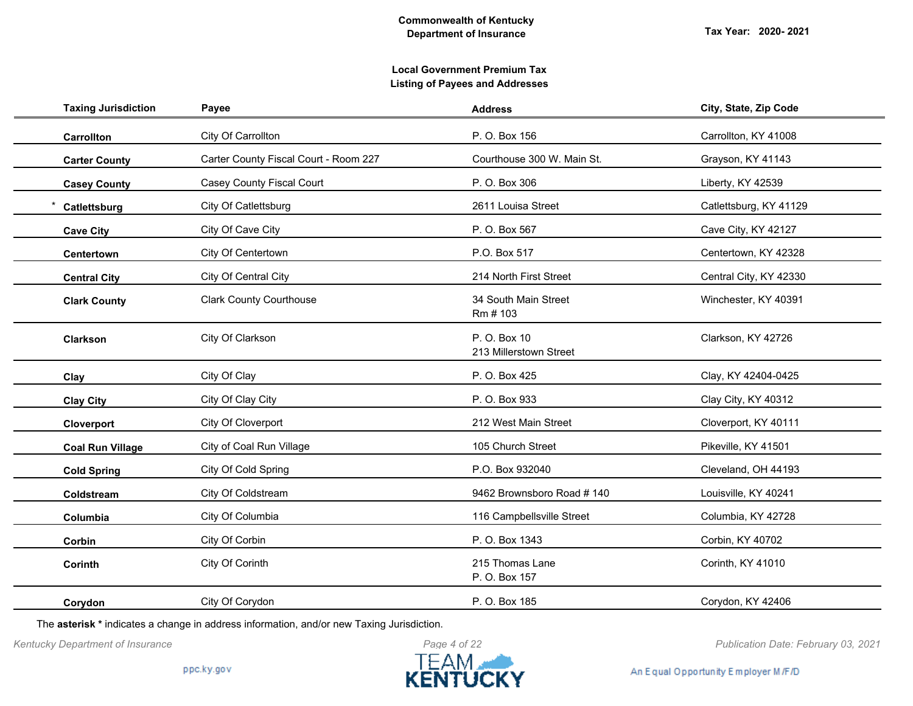| <b>Taxing Jurisdiction</b> | Payee                                 | <b>Address</b>                         | City, State, Zip Code  |
|----------------------------|---------------------------------------|----------------------------------------|------------------------|
| Carrollton                 | City Of Carrollton                    | P. O. Box 156                          | Carrollton, KY 41008   |
| <b>Carter County</b>       | Carter County Fiscal Court - Room 227 | Courthouse 300 W. Main St.             | Grayson, KY 41143      |
| <b>Casey County</b>        | Casey County Fiscal Court             | P. O. Box 306                          | Liberty, KY 42539      |
| Catlettsburg               | City Of Catlettsburg                  | 2611 Louisa Street                     | Catlettsburg, KY 41129 |
| <b>Cave City</b>           | City Of Cave City                     | P. O. Box 567                          | Cave City, KY 42127    |
| Centertown                 | City Of Centertown                    | P.O. Box 517                           | Centertown, KY 42328   |
| <b>Central City</b>        | City Of Central City                  | 214 North First Street                 | Central City, KY 42330 |
| <b>Clark County</b>        | <b>Clark County Courthouse</b>        | 34 South Main Street<br>Rm # 103       | Winchester, KY 40391   |
| <b>Clarkson</b>            | City Of Clarkson                      | P. O. Box 10<br>213 Millerstown Street | Clarkson, KY 42726     |
| Clay                       | City Of Clay                          | P. O. Box 425                          | Clay, KY 42404-0425    |
| <b>Clay City</b>           | City Of Clay City                     | P. O. Box 933                          | Clay City, KY 40312    |
| Cloverport                 | City Of Cloverport                    | 212 West Main Street                   | Cloverport, KY 40111   |
| <b>Coal Run Village</b>    | City of Coal Run Village              | 105 Church Street                      | Pikeville, KY 41501    |
| <b>Cold Spring</b>         | City Of Cold Spring                   | P.O. Box 932040                        | Cleveland, OH 44193    |
| Coldstream                 | City Of Coldstream                    | 9462 Brownsboro Road #140              | Louisville, KY 40241   |
| Columbia                   | City Of Columbia                      | 116 Campbellsville Street              | Columbia, KY 42728     |
| Corbin                     | City Of Corbin                        | P. O. Box 1343                         | Corbin, KY 40702       |
| Corinth                    | City Of Corinth                       | 215 Thomas Lane<br>P. O. Box 157       | Corinth, KY 41010      |
| Corydon                    | City Of Corydon                       | P. O. Box 185                          | Corydon, KY 42406      |

The **asterisk \*** indicates a change in address information, and/or new Taxing Jurisdiction.



*Kentucky Department of Insurance Publication Date: February 03, 2021*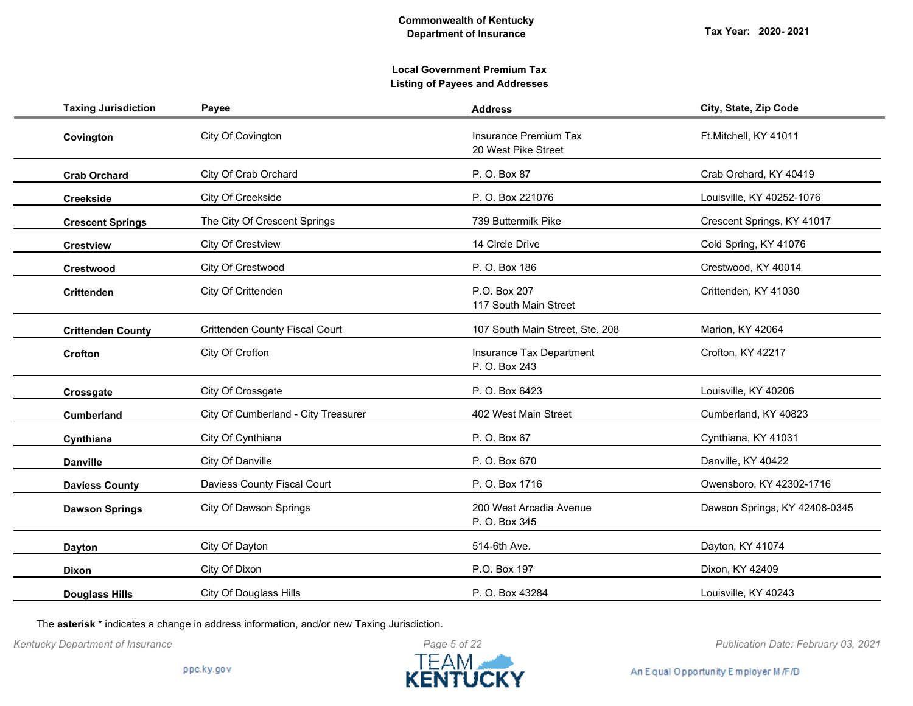## **Local Government Premium Tax Listing of Payees and Addresses**

| <b>Taxing Jurisdiction</b> | Payee                                 | <b>Address</b>                               | City, State, Zip Code         |
|----------------------------|---------------------------------------|----------------------------------------------|-------------------------------|
| Covington                  | City Of Covington                     | Insurance Premium Tax<br>20 West Pike Street | Ft.Mitchell, KY 41011         |
| <b>Crab Orchard</b>        | City Of Crab Orchard                  | P. O. Box 87                                 | Crab Orchard, KY 40419        |
| <b>Creekside</b>           | City Of Creekside                     | P. O. Box 221076                             | Louisville, KY 40252-1076     |
| <b>Crescent Springs</b>    | The City Of Crescent Springs          | 739 Buttermilk Pike                          | Crescent Springs, KY 41017    |
| <b>Crestview</b>           | City Of Crestview                     | 14 Circle Drive                              | Cold Spring, KY 41076         |
| <b>Crestwood</b>           | City Of Crestwood                     | P. O. Box 186                                | Crestwood, KY 40014           |
| <b>Crittenden</b>          | City Of Crittenden                    | P.O. Box 207<br>117 South Main Street        | Crittenden, KY 41030          |
| <b>Crittenden County</b>   | <b>Crittenden County Fiscal Court</b> | 107 South Main Street, Ste, 208              | Marion, KY 42064              |
| <b>Crofton</b>             | City Of Crofton                       | Insurance Tax Department<br>P. O. Box 243    | Crofton, KY 42217             |
| Crossgate                  | City Of Crossgate                     | P. O. Box 6423                               | Louisville, KY 40206          |
| <b>Cumberland</b>          | City Of Cumberland - City Treasurer   | 402 West Main Street                         | Cumberland, KY 40823          |
| Cynthiana                  | City Of Cynthiana                     | P. O. Box 67                                 | Cynthiana, KY 41031           |
| <b>Danville</b>            | City Of Danville                      | P. O. Box 670                                | Danville, KY 40422            |
| <b>Daviess County</b>      | Daviess County Fiscal Court           | P. O. Box 1716                               | Owensboro, KY 42302-1716      |
| <b>Dawson Springs</b>      | <b>City Of Dawson Springs</b>         | 200 West Arcadia Avenue<br>P. O. Box 345     | Dawson Springs, KY 42408-0345 |
| <b>Dayton</b>              | City Of Dayton                        | 514-6th Ave.                                 | Dayton, KY 41074              |
| <b>Dixon</b>               | City Of Dixon                         | P.O. Box 197                                 | Dixon, KY 42409               |
| <b>Douglass Hills</b>      | <b>City Of Douglass Hills</b>         | P. O. Box 43284                              | Louisville, KY 40243          |

The **asterisk \*** indicates a change in address information, and/or new Taxing Jurisdiction.



*Kentucky Department of Insurance Publication Date: February 03, 2021*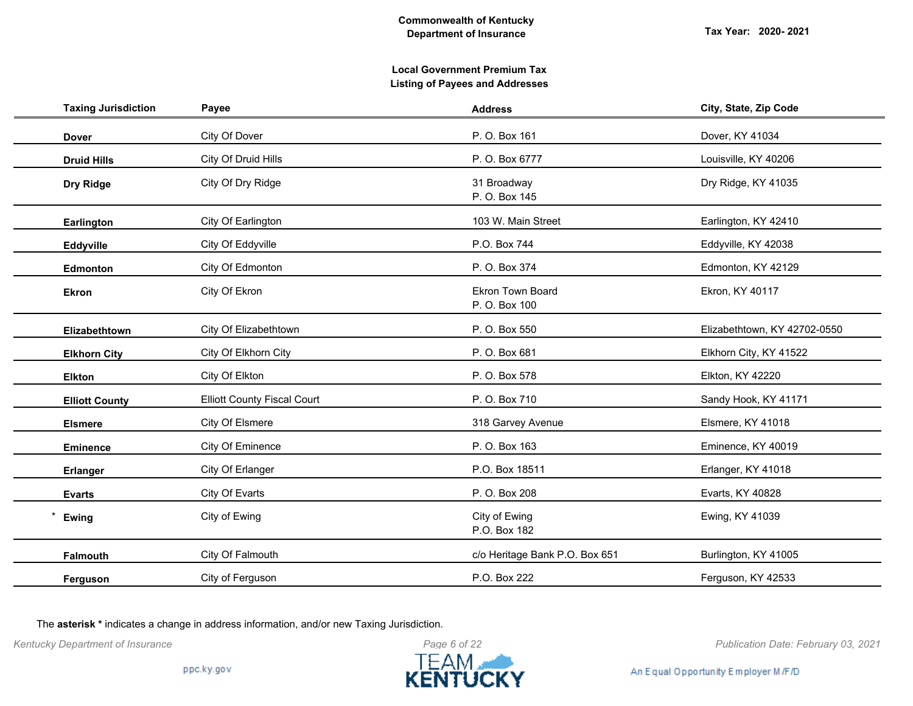| <b>Taxing Jurisdiction</b> | Payee                              | <b>Address</b>                    | City, State, Zip Code        |
|----------------------------|------------------------------------|-----------------------------------|------------------------------|
| <b>Dover</b>               | City Of Dover                      | P. O. Box 161                     | Dover, KY 41034              |
| <b>Druid Hills</b>         | City Of Druid Hills                | P. O. Box 6777                    | Louisville, KY 40206         |
| Dry Ridge                  | City Of Dry Ridge                  | 31 Broadway<br>P. O. Box 145      | Dry Ridge, KY 41035          |
| Earlington                 | City Of Earlington                 | 103 W. Main Street                | Earlington, KY 42410         |
| Eddyville                  | City Of Eddyville                  | P.O. Box 744                      | Eddyville, KY 42038          |
| Edmonton                   | City Of Edmonton                   | P. O. Box 374                     | Edmonton, KY 42129           |
| <b>Ekron</b>               | City Of Ekron                      | Ekron Town Board<br>P. O. Box 100 | Ekron, KY 40117              |
| Elizabethtown              | City Of Elizabethtown              | P. O. Box 550                     | Elizabethtown, KY 42702-0550 |
| <b>Elkhorn City</b>        | City Of Elkhorn City               | P. O. Box 681                     | Elkhorn City, KY 41522       |
| <b>Elkton</b>              | City Of Elkton                     | P. O. Box 578                     | Elkton, KY 42220             |
| <b>Elliott County</b>      | <b>Elliott County Fiscal Court</b> | P. O. Box 710                     | Sandy Hook, KY 41171         |
| <b>Elsmere</b>             | City Of Elsmere                    | 318 Garvey Avenue                 | Elsmere, KY 41018            |
| <b>Eminence</b>            | City Of Eminence                   | P. O. Box 163                     | Eminence, KY 40019           |
| <b>Erlanger</b>            | City Of Erlanger                   | P.O. Box 18511                    | Erlanger, KY 41018           |
| <b>Evarts</b>              | City Of Evarts                     | P. O. Box 208                     | Evarts, KY 40828             |
| Ewing                      | City of Ewing                      | City of Ewing<br>P.O. Box 182     | Ewing, KY 41039              |
| Falmouth                   | City Of Falmouth                   | c/o Heritage Bank P.O. Box 651    | Burlington, KY 41005         |
| Ferguson                   | City of Ferguson                   | P.O. Box 222                      | Ferguson, KY 42533           |
|                            |                                    |                                   |                              |

The **asterisk \*** indicates a change in address information, and/or new Taxing Jurisdiction.



*Kentucky Department of Insurance Publication Date: February 03, 2021*

An Equal Opportunity Employer M/F/D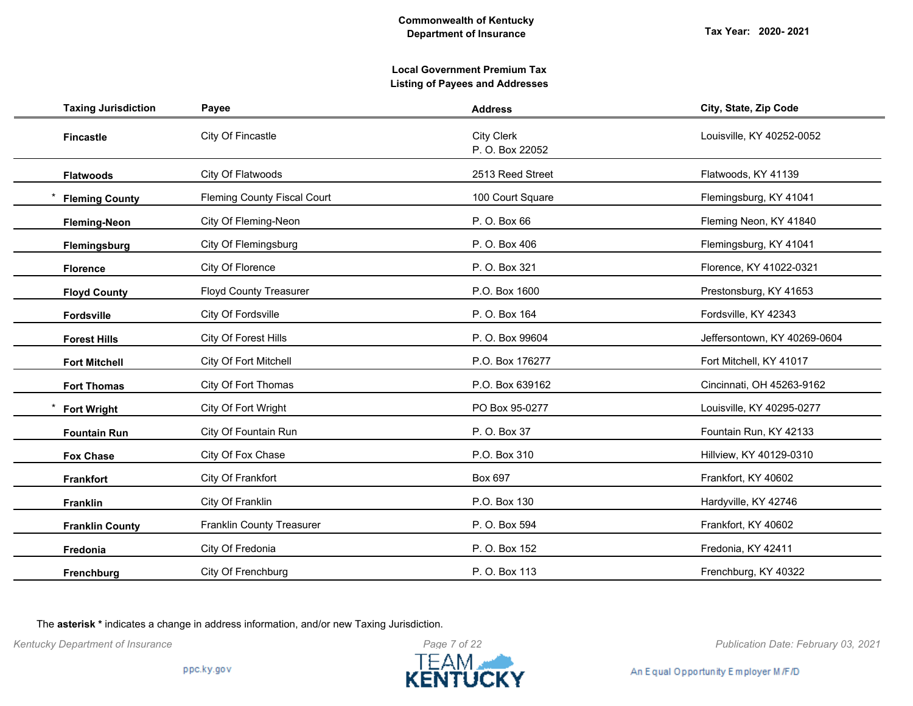## **Local Government Premium Tax Listing of Payees and Addresses**

| Payee                              | <b>Address</b>                       | City, State, Zip Code        |
|------------------------------------|--------------------------------------|------------------------------|
| City Of Fincastle                  | <b>City Clerk</b><br>P. O. Box 22052 | Louisville, KY 40252-0052    |
| City Of Flatwoods                  | 2513 Reed Street                     | Flatwoods, KY 41139          |
| <b>Fleming County Fiscal Court</b> | 100 Court Square                     | Flemingsburg, KY 41041       |
| City Of Fleming-Neon               | P. O. Box 66                         | Fleming Neon, KY 41840       |
| City Of Flemingsburg               | P. O. Box 406                        | Flemingsburg, KY 41041       |
| City Of Florence                   | P. O. Box 321                        | Florence, KY 41022-0321      |
| <b>Floyd County Treasurer</b>      | P.O. Box 1600                        | Prestonsburg, KY 41653       |
| City Of Fordsville                 | P. O. Box 164                        | Fordsville, KY 42343         |
| City Of Forest Hills               | P. O. Box 99604                      | Jeffersontown, KY 40269-0604 |
| City Of Fort Mitchell              | P.O. Box 176277                      | Fort Mitchell, KY 41017      |
| City Of Fort Thomas                | P.O. Box 639162                      | Cincinnati, OH 45263-9162    |
| City Of Fort Wright                | PO Box 95-0277                       | Louisville, KY 40295-0277    |
| City Of Fountain Run               | P. O. Box 37                         | Fountain Run, KY 42133       |
| City Of Fox Chase                  | P.O. Box 310                         | Hillview, KY 40129-0310      |
| City Of Frankfort                  | Box 697                              | Frankfort, KY 40602          |
| City Of Franklin                   | P.O. Box 130                         | Hardyville, KY 42746         |
| Franklin County Treasurer          | P. O. Box 594                        | Frankfort, KY 40602          |
| City Of Fredonia                   | P. O. Box 152                        | Fredonia, KY 42411           |
| City Of Frenchburg                 | P. O. Box 113                        | Frenchburg, KY 40322         |
|                                    |                                      |                              |

The **asterisk \*** indicates a change in address information, and/or new Taxing Jurisdiction.



*Kentucky Department of Insurance Publication Date: February 03, 2021*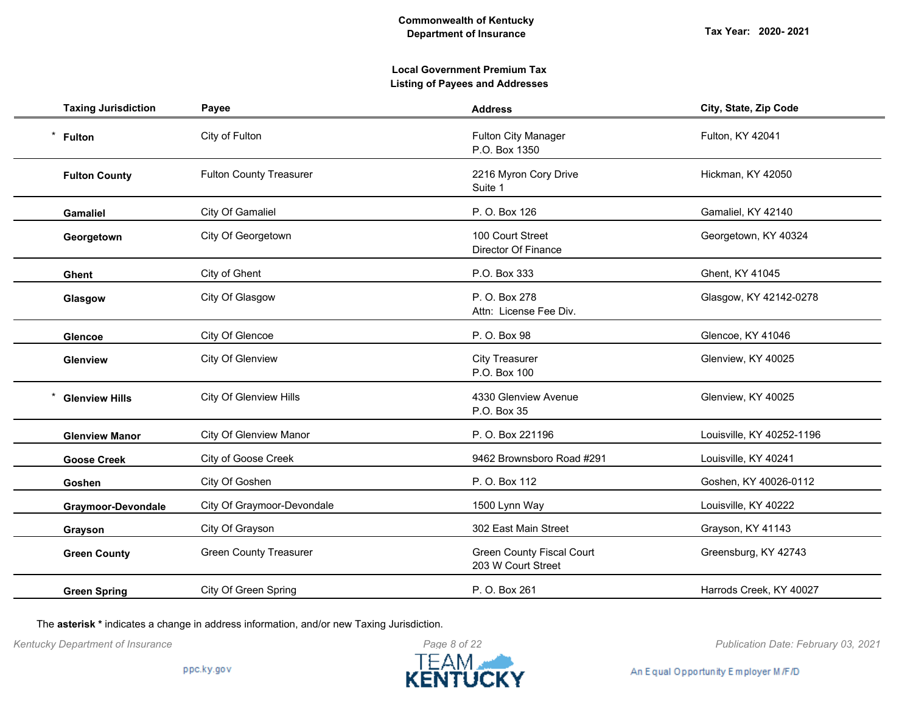## **Local Government Premium Tax Listing of Payees and Addresses**

| <b>Taxing Jurisdiction</b> | Payee                          | <b>Address</b>                                         | City, State, Zip Code     |
|----------------------------|--------------------------------|--------------------------------------------------------|---------------------------|
| $^\star$<br><b>Fulton</b>  | City of Fulton                 | <b>Fulton City Manager</b><br>P.O. Box 1350            | Fulton, KY 42041          |
| <b>Fulton County</b>       | <b>Fulton County Treasurer</b> | 2216 Myron Cory Drive<br>Suite 1                       | Hickman, KY 42050         |
| <b>Gamaliel</b>            | City Of Gamaliel               | P. O. Box 126                                          | Gamaliel, KY 42140        |
| Georgetown                 | City Of Georgetown             | 100 Court Street<br>Director Of Finance                | Georgetown, KY 40324      |
| <b>Ghent</b>               | City of Ghent                  | P.O. Box 333                                           | Ghent, KY 41045           |
| Glasgow                    | City Of Glasgow                | P. O. Box 278<br>Attn: License Fee Div.                | Glasgow, KY 42142-0278    |
| <b>Glencoe</b>             | City Of Glencoe                | P. O. Box 98                                           | Glencoe, KY 41046         |
| <b>Glenview</b>            | <b>City Of Glenview</b>        | <b>City Treasurer</b><br>P.O. Box 100                  | Glenview, KY 40025        |
| <b>Glenview Hills</b>      | <b>City Of Glenview Hills</b>  | 4330 Glenview Avenue<br>P.O. Box 35                    | Glenview, KY 40025        |
| <b>Glenview Manor</b>      | <b>City Of Glenview Manor</b>  | P. O. Box 221196                                       | Louisville, KY 40252-1196 |
| <b>Goose Creek</b>         | City of Goose Creek            | 9462 Brownsboro Road #291                              | Louisville, KY 40241      |
| Goshen                     | City Of Goshen                 | P. O. Box 112                                          | Goshen, KY 40026-0112     |
| Graymoor-Devondale         | City Of Graymoor-Devondale     | 1500 Lynn Way                                          | Louisville, KY 40222      |
| Grayson                    | City Of Grayson                | 302 East Main Street                                   | Grayson, KY 41143         |
| <b>Green County</b>        | <b>Green County Treasurer</b>  | <b>Green County Fiscal Court</b><br>203 W Court Street | Greensburg, KY 42743      |
| <b>Green Spring</b>        | City Of Green Spring           | P. O. Box 261                                          | Harrods Creek, KY 40027   |

The **asterisk \*** indicates a change in address information, and/or new Taxing Jurisdiction.



*Kentucky Department of Insurance Publication Date: February 03, 2021*

An Equal Opportunity Employer M/F/D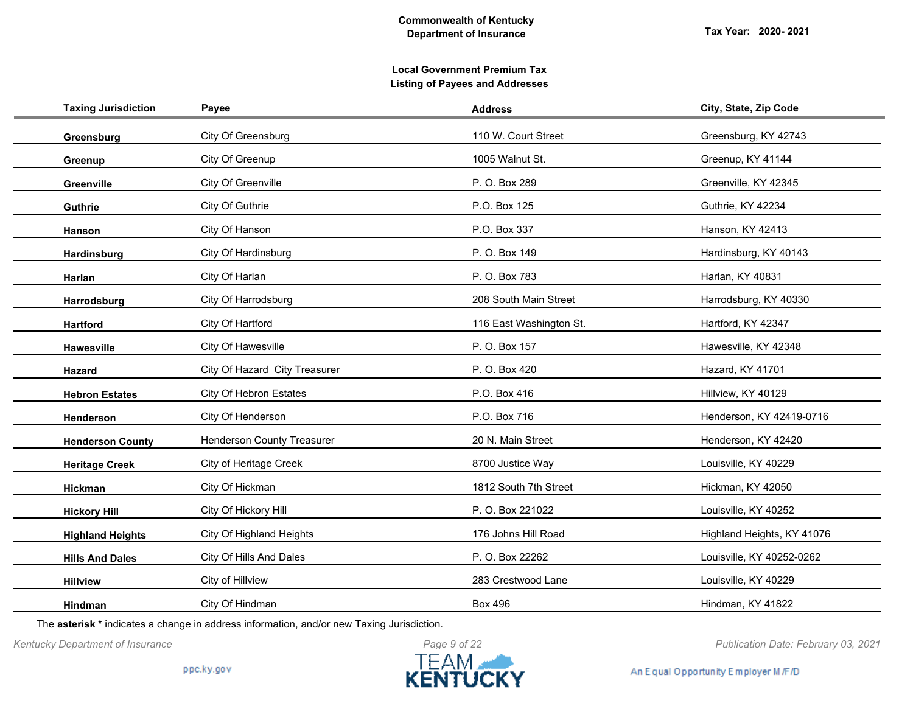| <b>Taxing Jurisdiction</b> | Payee                             | <b>Address</b>          | City, State, Zip Code      |
|----------------------------|-----------------------------------|-------------------------|----------------------------|
| Greensburg                 | City Of Greensburg                | 110 W. Court Street     | Greensburg, KY 42743       |
| Greenup                    | City Of Greenup                   | 1005 Walnut St.         | Greenup, KY 41144          |
| Greenville                 | City Of Greenville                | P. O. Box 289           | Greenville, KY 42345       |
| Guthrie                    | City Of Guthrie                   | P.O. Box 125            | Guthrie, KY 42234          |
| Hanson                     | City Of Hanson                    | P.O. Box 337            | Hanson, KY 42413           |
| Hardinsburg                | City Of Hardinsburg               | P. O. Box 149           | Hardinsburg, KY 40143      |
| Harlan                     | City Of Harlan                    | P. O. Box 783           | Harlan, KY 40831           |
| Harrodsburg                | City Of Harrodsburg               | 208 South Main Street   | Harrodsburg, KY 40330      |
| <b>Hartford</b>            | City Of Hartford                  | 116 East Washington St. | Hartford, KY 42347         |
| <b>Hawesville</b>          | City Of Hawesville                | P. O. Box 157           | Hawesville, KY 42348       |
| Hazard                     | City Of Hazard City Treasurer     | P. O. Box 420           | Hazard, KY 41701           |
| <b>Hebron Estates</b>      | City Of Hebron Estates            | P.O. Box 416            | Hillview, KY 40129         |
| Henderson                  | City Of Henderson                 | P.O. Box 716            | Henderson, KY 42419-0716   |
| <b>Henderson County</b>    | <b>Henderson County Treasurer</b> | 20 N. Main Street       | Henderson, KY 42420        |
| <b>Heritage Creek</b>      | City of Heritage Creek            | 8700 Justice Way        | Louisville, KY 40229       |
| Hickman                    | City Of Hickman                   | 1812 South 7th Street   | Hickman, KY 42050          |
| <b>Hickory Hill</b>        | City Of Hickory Hill              | P. O. Box 221022        | Louisville, KY 40252       |
| <b>Highland Heights</b>    | City Of Highland Heights          | 176 Johns Hill Road     | Highland Heights, KY 41076 |
| <b>Hills And Dales</b>     | City Of Hills And Dales           | P. O. Box 22262         | Louisville, KY 40252-0262  |
| <b>Hillview</b>            | City of Hillview                  | 283 Crestwood Lane      | Louisville, KY 40229       |
| <b>Hindman</b>             | City Of Hindman                   | <b>Box 496</b>          | Hindman, KY 41822          |

The **asterisk \*** indicates a change in address information, and/or new Taxing Jurisdiction.



*Kentucky Department of Insurance Publication Date: February 03, 2021*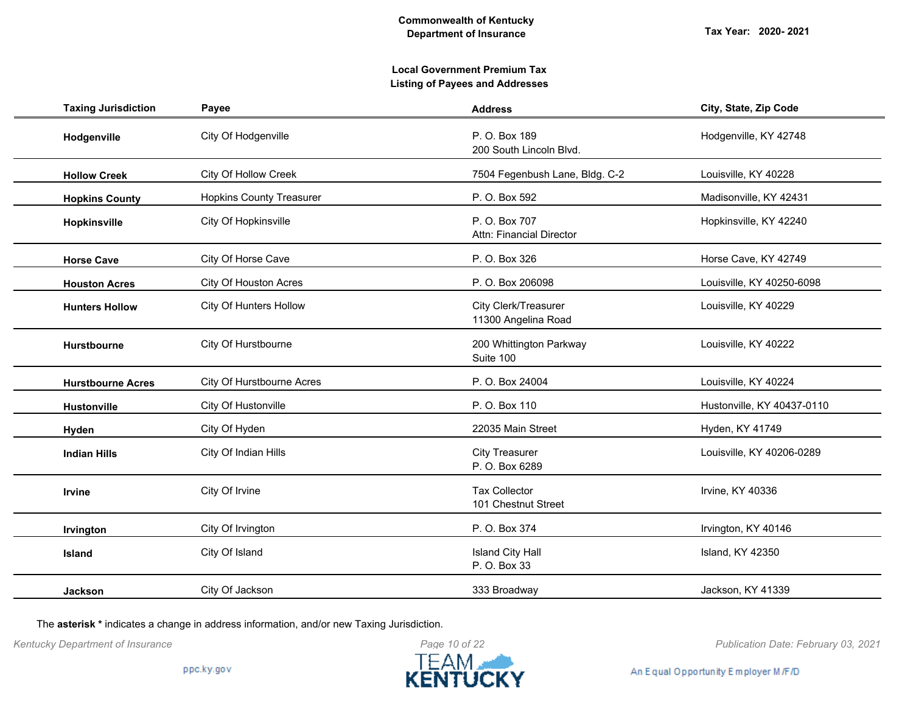**Tax Year: 2020- 2021**

## **Local Government Premium Tax Listing of Payees and Addresses**

| <b>Taxing Jurisdiction</b> | Payee                           | <b>Address</b>                              | City, State, Zip Code      |
|----------------------------|---------------------------------|---------------------------------------------|----------------------------|
| Hodgenville                | City Of Hodgenville             | P. O. Box 189<br>200 South Lincoln Blvd.    | Hodgenville, KY 42748      |
| <b>Hollow Creek</b>        | <b>City Of Hollow Creek</b>     | 7504 Fegenbush Lane, Bldg. C-2              | Louisville, KY 40228       |
| <b>Hopkins County</b>      | <b>Hopkins County Treasurer</b> | P. O. Box 592                               | Madisonville, KY 42431     |
| Hopkinsville               | City Of Hopkinsville            | P. O. Box 707<br>Attn: Financial Director   | Hopkinsville, KY 42240     |
| <b>Horse Cave</b>          | City Of Horse Cave              | P. O. Box 326                               | Horse Cave, KY 42749       |
| <b>Houston Acres</b>       | City Of Houston Acres           | P. O. Box 206098                            | Louisville, KY 40250-6098  |
| <b>Hunters Hollow</b>      | <b>City Of Hunters Hollow</b>   | City Clerk/Treasurer<br>11300 Angelina Road | Louisville, KY 40229       |
| Hurstbourne                | City Of Hurstbourne             | 200 Whittington Parkway<br>Suite 100        | Louisville, KY 40222       |
| <b>Hurstbourne Acres</b>   | City Of Hurstbourne Acres       | P. O. Box 24004                             | Louisville, KY 40224       |
| <b>Hustonville</b>         | City Of Hustonville             | P. O. Box 110                               | Hustonville, KY 40437-0110 |
| Hyden                      | City Of Hyden                   | 22035 Main Street                           | Hyden, KY 41749            |
| <b>Indian Hills</b>        | City Of Indian Hills            | <b>City Treasurer</b><br>P. O. Box 6289     | Louisville, KY 40206-0289  |
| Irvine                     | City Of Irvine                  | <b>Tax Collector</b><br>101 Chestnut Street | Irvine, KY 40336           |
| Irvington                  | City Of Irvington               | P. O. Box 374                               | Irvington, KY 40146        |
| Island                     | City Of Island                  | <b>Island City Hall</b><br>P. O. Box 33     | Island, KY 42350           |
| <b>Jackson</b>             | City Of Jackson                 | 333 Broadway                                | Jackson, KY 41339          |

The **asterisk \*** indicates a change in address information, and/or new Taxing Jurisdiction.



*Kentucky Department of Insurance Publication Date: February 03, 2021*

An Equal Opportunity Employer M/F/D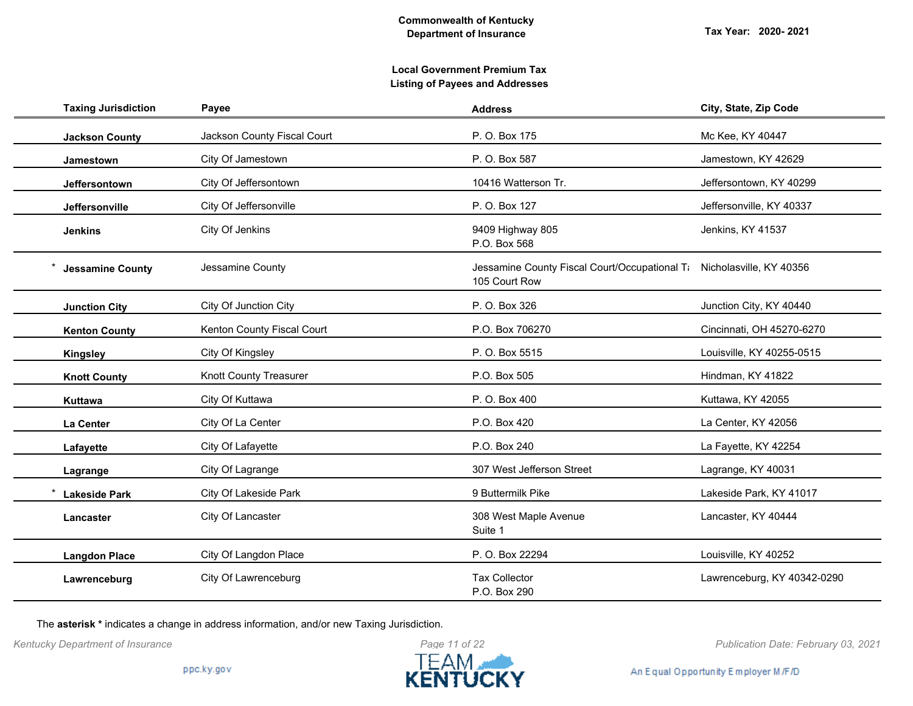| <b>Taxing Jurisdiction</b> | Payee                         | <b>Address</b>                                                 | City, State, Zip Code       |
|----------------------------|-------------------------------|----------------------------------------------------------------|-----------------------------|
| <b>Jackson County</b>      | Jackson County Fiscal Court   | P. O. Box 175                                                  | Mc Kee, KY 40447            |
| <b>Jamestown</b>           | City Of Jamestown             | P. O. Box 587                                                  | Jamestown, KY 42629         |
| Jeffersontown              | City Of Jeffersontown         | 10416 Watterson Tr.                                            | Jeffersontown, KY 40299     |
| Jeffersonville             | City Of Jeffersonville        | P. O. Box 127                                                  | Jeffersonville, KY 40337    |
| <b>Jenkins</b>             | City Of Jenkins               | 9409 Highway 805<br>P.O. Box 568                               | Jenkins, KY 41537           |
| <b>Jessamine County</b>    | Jessamine County              | Jessamine County Fiscal Court/Occupational Ti<br>105 Court Row | Nicholasville, KY 40356     |
| <b>Junction City</b>       | City Of Junction City         | P. O. Box 326                                                  | Junction City, KY 40440     |
| <b>Kenton County</b>       | Kenton County Fiscal Court    | P.O. Box 706270                                                | Cincinnati, OH 45270-6270   |
| <b>Kingsley</b>            | City Of Kingsley              | P. O. Box 5515                                                 | Louisville, KY 40255-0515   |
| <b>Knott County</b>        | <b>Knott County Treasurer</b> | P.O. Box 505                                                   | Hindman, KY 41822           |
| Kuttawa                    | City Of Kuttawa               | P. O. Box 400                                                  | Kuttawa, KY 42055           |
| La Center                  | City Of La Center             | P.O. Box 420                                                   | La Center, KY 42056         |
| Lafayette                  | City Of Lafayette             | P.O. Box 240                                                   | La Fayette, KY 42254        |
| Lagrange                   | City Of Lagrange              | 307 West Jefferson Street                                      | Lagrange, KY 40031          |
| <b>Lakeside Park</b>       | City Of Lakeside Park         | 9 Buttermilk Pike                                              | Lakeside Park, KY 41017     |
| Lancaster                  | City Of Lancaster             | 308 West Maple Avenue<br>Suite 1                               | Lancaster, KY 40444         |
| <b>Langdon Place</b>       | City Of Langdon Place         | P. O. Box 22294                                                | Louisville, KY 40252        |
| Lawrenceburg               | City Of Lawrenceburg          | <b>Tax Collector</b><br>P.O. Box 290                           | Lawrenceburg, KY 40342-0290 |

The **asterisk \*** indicates a change in address information, and/or new Taxing Jurisdiction.



*Kentucky Department of Insurance Publication Date: February 03, 2021*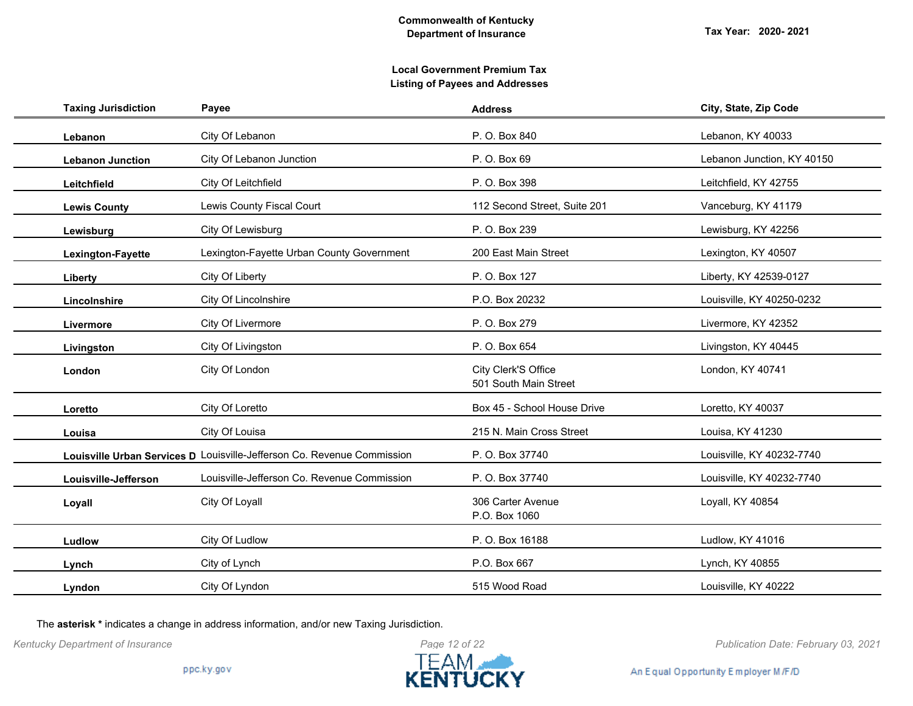**Tax Year: 2020- 2021**

## **Local Government Premium Tax Listing of Payees and Addresses**

| <b>Taxing Jurisdiction</b> | Payee                                                                   | <b>Address</b>                               | City, State, Zip Code      |
|----------------------------|-------------------------------------------------------------------------|----------------------------------------------|----------------------------|
| Lebanon                    | City Of Lebanon                                                         | P. O. Box 840                                | Lebanon, KY 40033          |
| <b>Lebanon Junction</b>    | City Of Lebanon Junction                                                | P. O. Box 69                                 | Lebanon Junction, KY 40150 |
| Leitchfield                | City Of Leitchfield                                                     | P. O. Box 398                                | Leitchfield, KY 42755      |
| <b>Lewis County</b>        | Lewis County Fiscal Court                                               | 112 Second Street, Suite 201                 | Vanceburg, KY 41179        |
| Lewisburg                  | City Of Lewisburg                                                       | P. O. Box 239                                | Lewisburg, KY 42256        |
| Lexington-Fayette          | Lexington-Fayette Urban County Government                               | 200 East Main Street                         | Lexington, KY 40507        |
| Liberty                    | City Of Liberty                                                         | P. O. Box 127                                | Liberty, KY 42539-0127     |
| Lincolnshire               | City Of Lincolnshire                                                    | P.O. Box 20232                               | Louisville, KY 40250-0232  |
| Livermore                  | City Of Livermore                                                       | P. O. Box 279                                | Livermore, KY 42352        |
| Livingston                 | City Of Livingston                                                      | P. O. Box 654                                | Livingston, KY 40445       |
| London                     | City Of London                                                          | City Clerk'S Office<br>501 South Main Street | London, KY 40741           |
| Loretto                    | City Of Loretto                                                         | Box 45 - School House Drive                  | Loretto, KY 40037          |
| Louisa                     | City Of Louisa                                                          | 215 N. Main Cross Street                     | Louisa, KY 41230           |
|                            | Louisville Urban Services D Louisville-Jefferson Co. Revenue Commission | P. O. Box 37740                              | Louisville, KY 40232-7740  |
| Louisville-Jefferson       | Louisville-Jefferson Co. Revenue Commission                             | P. O. Box 37740                              | Louisville, KY 40232-7740  |
| Loyall                     | City Of Loyall                                                          | 306 Carter Avenue<br>P.O. Box 1060           | Loyall, KY 40854           |
| Ludlow                     | City Of Ludlow                                                          | P. O. Box 16188                              | Ludlow, KY 41016           |
| Lynch                      | City of Lynch                                                           | P.O. Box 667                                 | Lynch, KY 40855            |
| Lyndon                     | City Of Lyndon                                                          | 515 Wood Road                                | Louisville, KY 40222       |

The **asterisk \*** indicates a change in address information, and/or new Taxing Jurisdiction.



*Kentucky Department of Insurance Publication Date: February 03, 2021*

An Equal Opportunity Employer M/F/D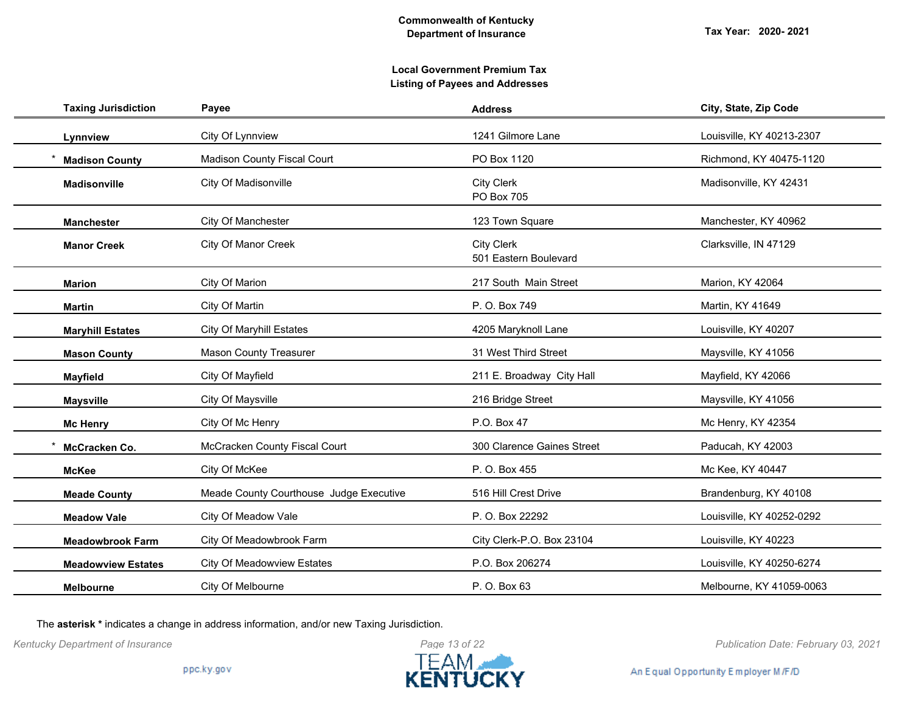| <b>Taxing Jurisdiction</b> | Payee                                   | <b>Address</b>                             | City, State, Zip Code     |
|----------------------------|-----------------------------------------|--------------------------------------------|---------------------------|
| Lynnview                   | City Of Lynnview                        | 1241 Gilmore Lane                          | Louisville, KY 40213-2307 |
| <b>Madison County</b>      | <b>Madison County Fiscal Court</b>      | PO Box 1120                                | Richmond, KY 40475-1120   |
| <b>Madisonville</b>        | City Of Madisonville                    | <b>City Clerk</b><br>PO Box 705            | Madisonville, KY 42431    |
| <b>Manchester</b>          | City Of Manchester                      | 123 Town Square                            | Manchester, KY 40962      |
| <b>Manor Creek</b>         | City Of Manor Creek                     | <b>City Clerk</b><br>501 Eastern Boulevard | Clarksville, IN 47129     |
| <b>Marion</b>              | City Of Marion                          | 217 South Main Street                      | Marion, KY 42064          |
| <b>Martin</b>              | City Of Martin                          | P. O. Box 749                              | Martin, KY 41649          |
| <b>Maryhill Estates</b>    | <b>City Of Maryhill Estates</b>         | 4205 Maryknoll Lane                        | Louisville, KY 40207      |
| <b>Mason County</b>        | <b>Mason County Treasurer</b>           | 31 West Third Street                       | Maysville, KY 41056       |
| <b>Mayfield</b>            | City Of Mayfield                        | 211 E. Broadway City Hall                  | Mayfield, KY 42066        |
| <b>Maysville</b>           | City Of Maysville                       | 216 Bridge Street                          | Maysville, KY 41056       |
| <b>Mc Henry</b>            | City Of Mc Henry                        | P.O. Box 47                                | Mc Henry, KY 42354        |
| McCracken Co.              | McCracken County Fiscal Court           | 300 Clarence Gaines Street                 | Paducah, KY 42003         |
| <b>McKee</b>               | City Of McKee                           | P. O. Box 455                              | Mc Kee, KY 40447          |
| <b>Meade County</b>        | Meade County Courthouse Judge Executive | 516 Hill Crest Drive                       | Brandenburg, KY 40108     |
| <b>Meadow Vale</b>         | City Of Meadow Vale                     | P. O. Box 22292                            | Louisville, KY 40252-0292 |
| <b>Meadowbrook Farm</b>    | City Of Meadowbrook Farm                | City Clerk-P.O. Box 23104                  | Louisville, KY 40223      |
| <b>Meadowview Estates</b>  | City Of Meadowview Estates              | P.O. Box 206274                            | Louisville, KY 40250-6274 |
| <b>Melbourne</b>           | City Of Melbourne                       | P. O. Box 63                               | Melbourne, KY 41059-0063  |

The **asterisk \*** indicates a change in address information, and/or new Taxing Jurisdiction.



*Kentucky Department of Insurance Publication Date: February 03, 2021*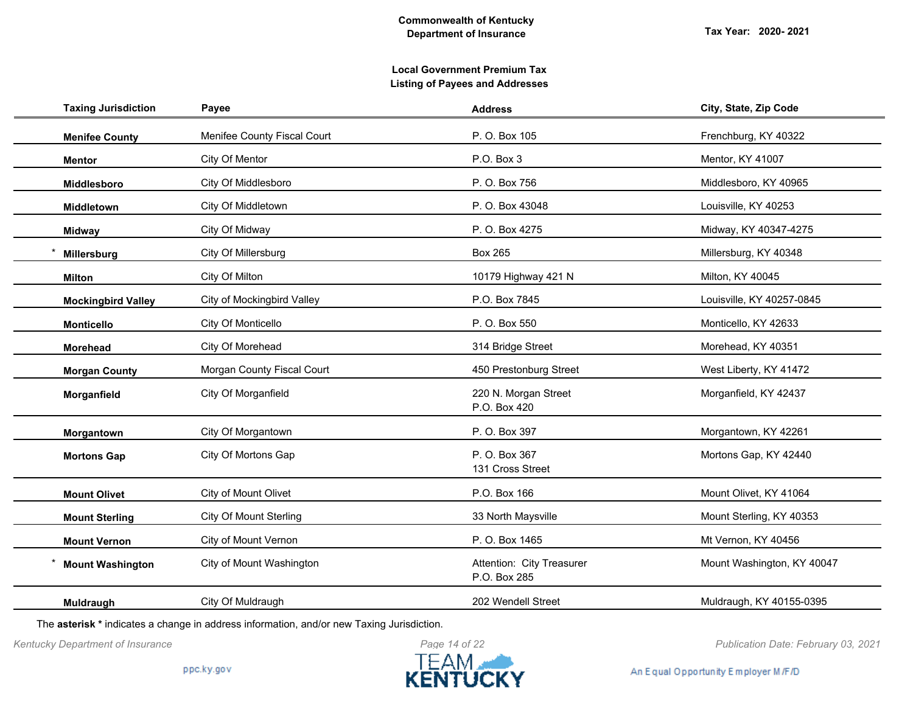## **Local Government Premium Tax Listing of Payees and Addresses**

| <b>Taxing Jurisdiction</b> | Payee                             | <b>Address</b>                            | City, State, Zip Code      |
|----------------------------|-----------------------------------|-------------------------------------------|----------------------------|
| <b>Menifee County</b>      | Menifee County Fiscal Court       | P. O. Box 105                             | Frenchburg, KY 40322       |
| <b>Mentor</b>              | City Of Mentor                    | P.O. Box 3                                | Mentor, KY 41007           |
| <b>Middlesboro</b>         | City Of Middlesboro               | P. O. Box 756                             | Middlesboro, KY 40965      |
| Middletown                 | City Of Middletown                | P. O. Box 43048                           | Louisville, KY 40253       |
| <b>Midway</b>              | City Of Midway                    | P. O. Box 4275                            | Midway, KY 40347-4275      |
| Millersburg                | City Of Millersburg               | <b>Box 265</b>                            | Millersburg, KY 40348      |
| <b>Milton</b>              | City Of Milton                    | 10179 Highway 421 N                       | Milton, KY 40045           |
| <b>Mockingbird Valley</b>  | <b>City of Mockingbird Valley</b> | P.O. Box 7845                             | Louisville, KY 40257-0845  |
| <b>Monticello</b>          | City Of Monticello                | P. O. Box 550                             | Monticello, KY 42633       |
| Morehead                   | City Of Morehead                  | 314 Bridge Street                         | Morehead, KY 40351         |
| <b>Morgan County</b>       | Morgan County Fiscal Court        | 450 Prestonburg Street                    | West Liberty, KY 41472     |
| Morganfield                | City Of Morganfield               | 220 N. Morgan Street<br>P.O. Box 420      | Morganfield, KY 42437      |
| Morgantown                 | City Of Morgantown                | P. O. Box 397                             | Morgantown, KY 42261       |
| <b>Mortons Gap</b>         | City Of Mortons Gap               | P. O. Box 367<br>131 Cross Street         | Mortons Gap, KY 42440      |
| <b>Mount Olivet</b>        | City of Mount Olivet              | P.O. Box 166                              | Mount Olivet, KY 41064     |
| <b>Mount Sterling</b>      | <b>City Of Mount Sterling</b>     | 33 North Maysville                        | Mount Sterling, KY 40353   |
| <b>Mount Vernon</b>        | City of Mount Vernon              | P. O. Box 1465                            | Mt Vernon, KY 40456        |
| <b>Mount Washington</b>    | City of Mount Washington          | Attention: City Treasurer<br>P.O. Box 285 | Mount Washington, KY 40047 |
| Muldraugh                  | City Of Muldraugh                 | 202 Wendell Street                        | Muldraugh, KY 40155-0395   |

The **asterisk \*** indicates a change in address information, and/or new Taxing Jurisdiction.



*Kentucky Department of Insurance Publication Date: February 03, 2021*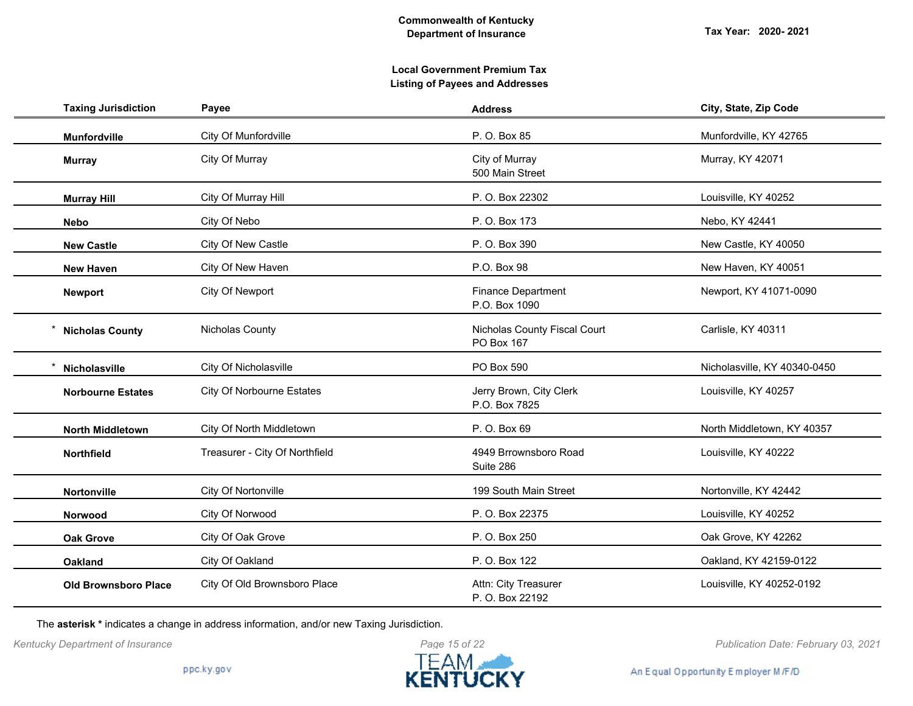| <b>Taxing Jurisdiction</b>  | Payee                            | <b>Address</b>                             | City, State, Zip Code        |
|-----------------------------|----------------------------------|--------------------------------------------|------------------------------|
| <b>Munfordville</b>         | City Of Munfordville             | P. O. Box 85                               | Munfordville, KY 42765       |
| <b>Murray</b>               | City Of Murray                   | City of Murray<br>500 Main Street          | Murray, KY 42071             |
| <b>Murray Hill</b>          | City Of Murray Hill              | P. O. Box 22302                            | Louisville, KY 40252         |
| <b>Nebo</b>                 | City Of Nebo                     | P. O. Box 173                              | Nebo, KY 42441               |
| <b>New Castle</b>           | City Of New Castle               | P. O. Box 390                              | New Castle, KY 40050         |
| <b>New Haven</b>            | City Of New Haven                | P.O. Box 98                                | New Haven, KY 40051          |
| <b>Newport</b>              | City Of Newport                  | <b>Finance Department</b><br>P.O. Box 1090 | Newport, KY 41071-0090       |
| <b>Nicholas County</b>      | Nicholas County                  | Nicholas County Fiscal Court<br>PO Box 167 | Carlisle, KY 40311           |
| Nicholasville               | City Of Nicholasville            | PO Box 590                                 | Nicholasville, KY 40340-0450 |
| <b>Norbourne Estates</b>    | <b>City Of Norbourne Estates</b> | Jerry Brown, City Clerk<br>P.O. Box 7825   | Louisville, KY 40257         |
| <b>North Middletown</b>     | City Of North Middletown         | P. O. Box 69                               | North Middletown, KY 40357   |
| <b>Northfield</b>           | Treasurer - City Of Northfield   | 4949 Brrownsboro Road<br>Suite 286         | Louisville, KY 40222         |
| Nortonville                 | City Of Nortonville              | 199 South Main Street                      | Nortonville, KY 42442        |
| Norwood                     | City Of Norwood                  | P. O. Box 22375                            | Louisville, KY 40252         |
| <b>Oak Grove</b>            | City Of Oak Grove                | P. O. Box 250                              | Oak Grove, KY 42262          |
| <b>Oakland</b>              | City Of Oakland                  | P. O. Box 122                              | Oakland, KY 42159-0122       |
| <b>Old Brownsboro Place</b> | City Of Old Brownsboro Place     | Attn: City Treasurer<br>P. O. Box 22192    | Louisville, KY 40252-0192    |

The **asterisk \*** indicates a change in address information, and/or new Taxing Jurisdiction.



*Kentucky Department of Insurance Publication Date: February 03, 2021*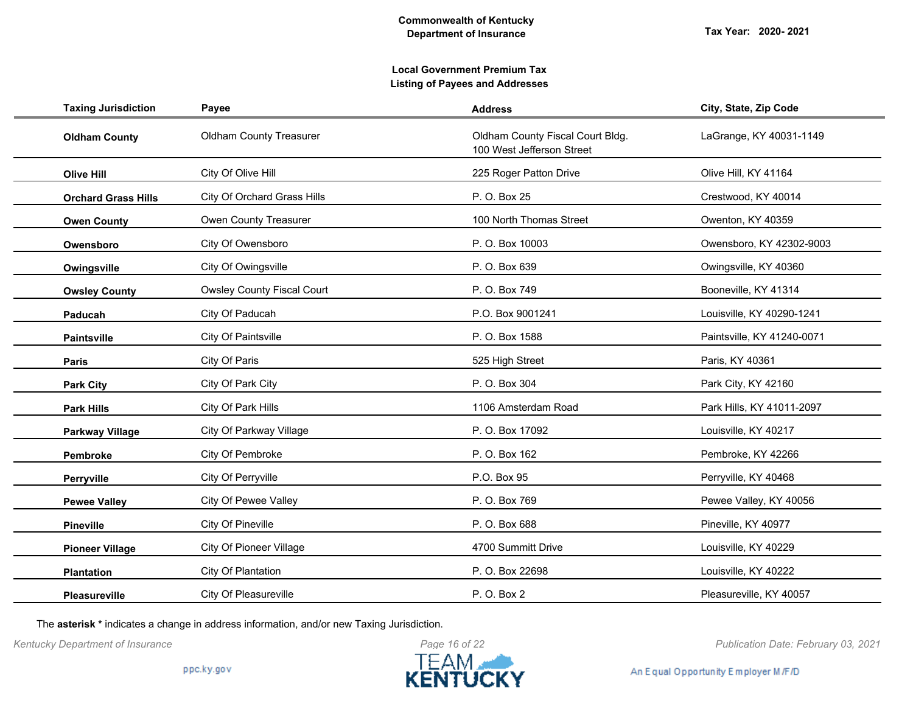## **Local Government Premium Tax Listing of Payees and Addresses**

| <b>Taxing Jurisdiction</b> | Payee                             | <b>Address</b>                                                | City, State, Zip Code      |
|----------------------------|-----------------------------------|---------------------------------------------------------------|----------------------------|
| <b>Oldham County</b>       | <b>Oldham County Treasurer</b>    | Oldham County Fiscal Court Bldg.<br>100 West Jefferson Street | LaGrange, KY 40031-1149    |
| <b>Olive Hill</b>          | City Of Olive Hill                | 225 Roger Patton Drive                                        | Olive Hill, KY 41164       |
| <b>Orchard Grass Hills</b> | City Of Orchard Grass Hills       | P. O. Box 25                                                  | Crestwood, KY 40014        |
| <b>Owen County</b>         | Owen County Treasurer             | 100 North Thomas Street                                       | Owenton, KY 40359          |
| Owensboro                  | City Of Owensboro                 | P. O. Box 10003                                               | Owensboro, KY 42302-9003   |
| Owingsville                | City Of Owingsville               | P. O. Box 639                                                 | Owingsville, KY 40360      |
| <b>Owsley County</b>       | <b>Owsley County Fiscal Court</b> | P. O. Box 749                                                 | Booneville, KY 41314       |
| Paducah                    | City Of Paducah                   | P.O. Box 9001241                                              | Louisville, KY 40290-1241  |
| <b>Paintsville</b>         | City Of Paintsville               | P. O. Box 1588                                                | Paintsville, KY 41240-0071 |
| <b>Paris</b>               | City Of Paris                     | 525 High Street                                               | Paris, KY 40361            |
| <b>Park City</b>           | City Of Park City                 | P. O. Box 304                                                 | Park City, KY 42160        |
| <b>Park Hills</b>          | City Of Park Hills                | 1106 Amsterdam Road                                           | Park Hills, KY 41011-2097  |
| <b>Parkway Village</b>     | City Of Parkway Village           | P. O. Box 17092                                               | Louisville, KY 40217       |
| Pembroke                   | City Of Pembroke                  | P. O. Box 162                                                 | Pembroke, KY 42266         |
| Perryville                 | City Of Perryville                | P.O. Box 95                                                   | Perryville, KY 40468       |
| <b>Pewee Valley</b>        | City Of Pewee Valley              | P. O. Box 769                                                 | Pewee Valley, KY 40056     |
| <b>Pineville</b>           | City Of Pineville                 | P. O. Box 688                                                 | Pineville, KY 40977        |
| <b>Pioneer Village</b>     | <b>City Of Pioneer Village</b>    | 4700 Summitt Drive                                            | Louisville, KY 40229       |
| <b>Plantation</b>          | City Of Plantation                | P. O. Box 22698                                               | Louisville, KY 40222       |
| Pleasureville              | <b>City Of Pleasureville</b>      | P. O. Box 2                                                   | Pleasureville, KY 40057    |

The **asterisk \*** indicates a change in address information, and/or new Taxing Jurisdiction.



*Kentucky Department of Insurance Publication Date: February 03, 2021*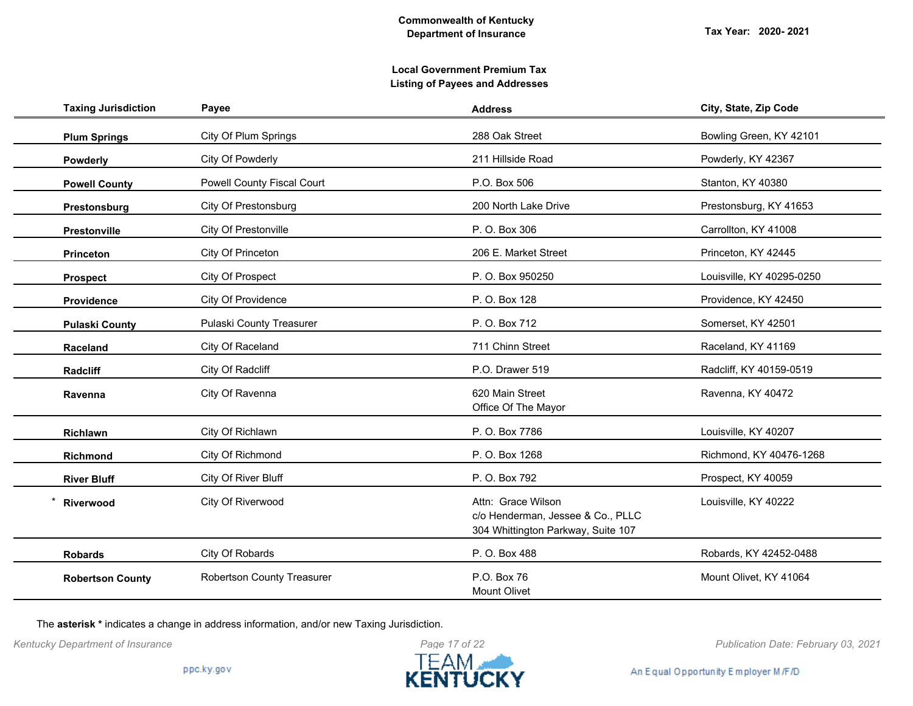| <b>Taxing Jurisdiction</b> | Payee                             | <b>Address</b>                                                                                | City, State, Zip Code     |
|----------------------------|-----------------------------------|-----------------------------------------------------------------------------------------------|---------------------------|
| <b>Plum Springs</b>        | City Of Plum Springs              | 288 Oak Street                                                                                | Bowling Green, KY 42101   |
| Powderly                   | City Of Powderly                  | 211 Hillside Road                                                                             | Powderly, KY 42367        |
| <b>Powell County</b>       | <b>Powell County Fiscal Court</b> | P.O. Box 506                                                                                  | Stanton, KY 40380         |
| Prestonsburg               | City Of Prestonsburg              | 200 North Lake Drive                                                                          | Prestonsburg, KY 41653    |
| Prestonville               | City Of Prestonville              | P. O. Box 306                                                                                 | Carrollton, KY 41008      |
| <b>Princeton</b>           | City Of Princeton                 | 206 E. Market Street                                                                          | Princeton, KY 42445       |
| <b>Prospect</b>            | City Of Prospect                  | P. O. Box 950250                                                                              | Louisville, KY 40295-0250 |
| <b>Providence</b>          | City Of Providence                | P. O. Box 128                                                                                 | Providence, KY 42450      |
| <b>Pulaski County</b>      | Pulaski County Treasurer          | P. O. Box 712                                                                                 | Somerset, KY 42501        |
| Raceland                   | City Of Raceland                  | 711 Chinn Street                                                                              | Raceland, KY 41169        |
| Radcliff                   | City Of Radcliff                  | P.O. Drawer 519                                                                               | Radcliff, KY 40159-0519   |
| Ravenna                    | City Of Ravenna                   | 620 Main Street<br>Office Of The Mayor                                                        | Ravenna, KY 40472         |
| Richlawn                   | City Of Richlawn                  | P. O. Box 7786                                                                                | Louisville, KY 40207      |
| Richmond                   | City Of Richmond                  | P. O. Box 1268                                                                                | Richmond, KY 40476-1268   |
| <b>River Bluff</b>         | City Of River Bluff               | P. O. Box 792                                                                                 | Prospect, KY 40059        |
| Riverwood                  | City Of Riverwood                 | Attn: Grace Wilson<br>c/o Henderman, Jessee & Co., PLLC<br>304 Whittington Parkway, Suite 107 | Louisville, KY 40222      |
| <b>Robards</b>             | City Of Robards                   | P. O. Box 488                                                                                 | Robards, KY 42452-0488    |
| <b>Robertson County</b>    | <b>Robertson County Treasurer</b> | P.O. Box 76<br>Mount Olivet                                                                   | Mount Olivet, KY 41064    |

The **asterisk \*** indicates a change in address information, and/or new Taxing Jurisdiction.

*Kentucky Department of Insurance Publication Date: February 03, 2021*

An Equal Opportunity Employer M/F/D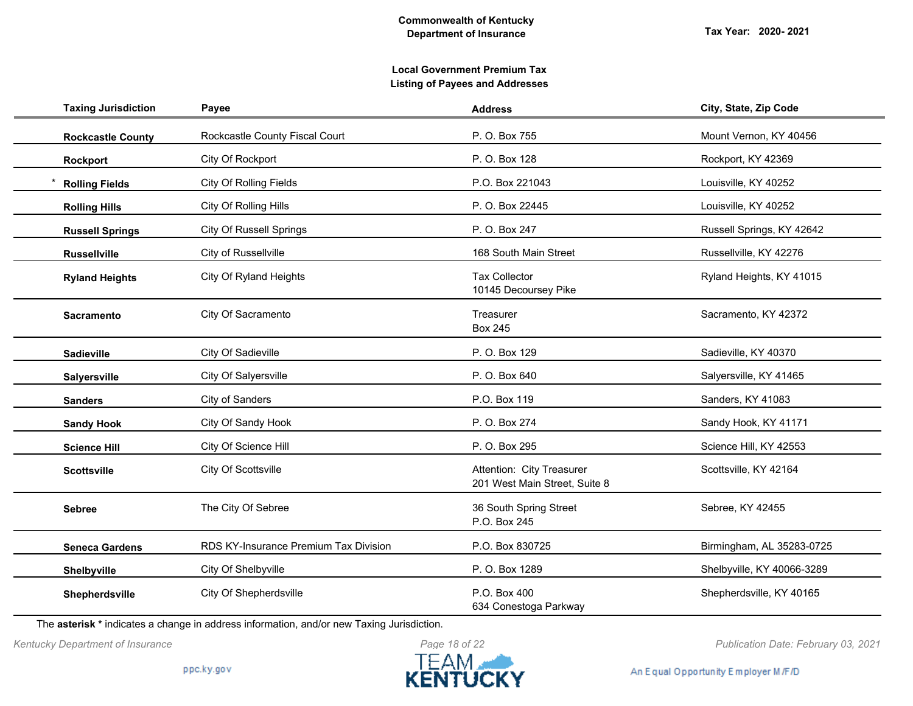**Tax Year: 2020- 2021**

## **Local Government Premium Tax Listing of Payees and Addresses**

| <b>Taxing Jurisdiction</b> | Payee                                 | <b>Address</b>                                             | City, State, Zip Code      |
|----------------------------|---------------------------------------|------------------------------------------------------------|----------------------------|
| <b>Rockcastle County</b>   | Rockcastle County Fiscal Court        | P. O. Box 755                                              | Mount Vernon, KY 40456     |
| Rockport                   | City Of Rockport                      | P. O. Box 128                                              | Rockport, KY 42369         |
| <b>Rolling Fields</b>      | <b>City Of Rolling Fields</b>         | P.O. Box 221043                                            | Louisville, KY 40252       |
| <b>Rolling Hills</b>       | City Of Rolling Hills                 | P. O. Box 22445                                            | Louisville, KY 40252       |
| <b>Russell Springs</b>     | <b>City Of Russell Springs</b>        | P. O. Box 247                                              | Russell Springs, KY 42642  |
| <b>Russellville</b>        | City of Russellville                  | 168 South Main Street                                      | Russellville, KY 42276     |
| <b>Ryland Heights</b>      | City Of Ryland Heights                | <b>Tax Collector</b><br>10145 Decoursey Pike               | Ryland Heights, KY 41015   |
| <b>Sacramento</b>          | City Of Sacramento                    | Treasurer<br><b>Box 245</b>                                | Sacramento, KY 42372       |
| <b>Sadieville</b>          | City Of Sadieville                    | P. O. Box 129                                              | Sadieville, KY 40370       |
| Salyersville               | City Of Salyersville                  | P. O. Box 640                                              | Salyersville, KY 41465     |
| <b>Sanders</b>             | City of Sanders                       | P.O. Box 119                                               | Sanders, KY 41083          |
| <b>Sandy Hook</b>          | City Of Sandy Hook                    | P. O. Box 274                                              | Sandy Hook, KY 41171       |
| <b>Science Hill</b>        | City Of Science Hill                  | P. O. Box 295                                              | Science Hill, KY 42553     |
| <b>Scottsville</b>         | City Of Scottsville                   | Attention: City Treasurer<br>201 West Main Street, Suite 8 | Scottsville, KY 42164      |
| <b>Sebree</b>              | The City Of Sebree                    | 36 South Spring Street<br>P.O. Box 245                     | Sebree, KY 42455           |
| <b>Seneca Gardens</b>      | RDS KY-Insurance Premium Tax Division | P.O. Box 830725                                            | Birmingham, AL 35283-0725  |
| Shelbyville                | City Of Shelbyville                   | P. O. Box 1289                                             | Shelbyville, KY 40066-3289 |
| Shepherdsville             | City Of Shepherdsville                | P.O. Box 400<br>634 Conestoga Parkway                      | Shepherdsville, KY 40165   |

The **asterisk \*** indicates a change in address information, and/or new Taxing Jurisdiction.

*Kentucky Department of Insurance Publication Date: February 03, 2021*

An Equal Opportunity Employer M/F/D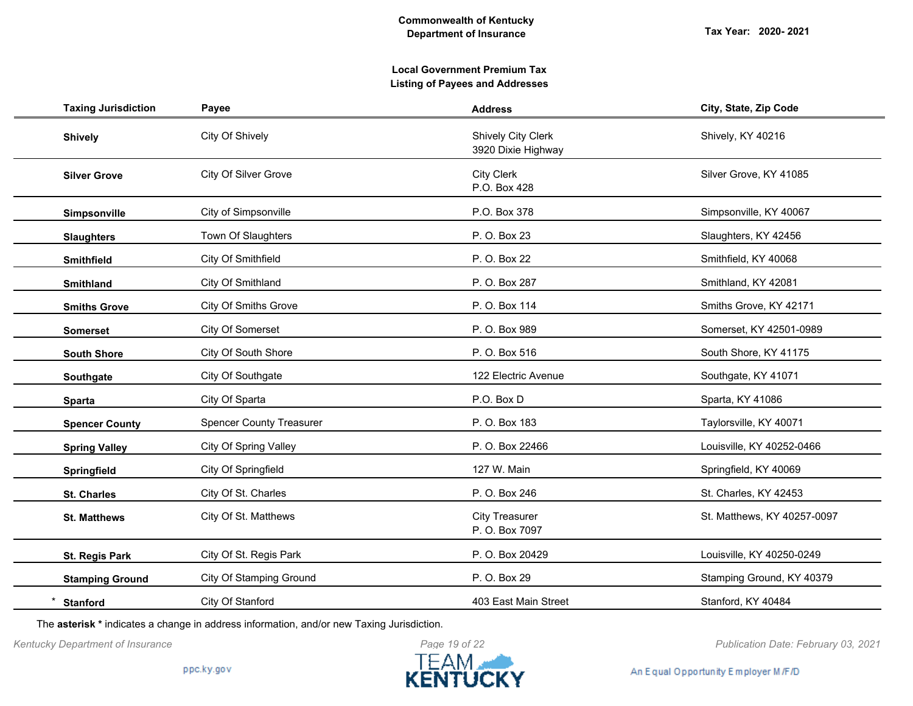**Tax Year: 2020- 2021**

# **Local Government Premium Tax Listing of Payees and Addresses**

| <b>Taxing Jurisdiction</b> | Payee                           | <b>Address</b>                                  | City, State, Zip Code       |
|----------------------------|---------------------------------|-------------------------------------------------|-----------------------------|
| <b>Shively</b>             | City Of Shively                 | <b>Shively City Clerk</b><br>3920 Dixie Highway | Shively, KY 40216           |
| <b>Silver Grove</b>        | City Of Silver Grove            | <b>City Clerk</b><br>P.O. Box 428               | Silver Grove, KY 41085      |
| Simpsonville               | City of Simpsonville            | P.O. Box 378                                    | Simpsonville, KY 40067      |
| <b>Slaughters</b>          | Town Of Slaughters              | P. O. Box 23                                    | Slaughters, KY 42456        |
| <b>Smithfield</b>          | City Of Smithfield              | P. O. Box 22                                    | Smithfield, KY 40068        |
| <b>Smithland</b>           | City Of Smithland               | P. O. Box 287                                   | Smithland, KY 42081         |
| <b>Smiths Grove</b>        | <b>City Of Smiths Grove</b>     | P. O. Box 114                                   | Smiths Grove, KY 42171      |
| <b>Somerset</b>            | City Of Somerset                | P. O. Box 989                                   | Somerset, KY 42501-0989     |
| <b>South Shore</b>         | City Of South Shore             | P. O. Box 516                                   | South Shore, KY 41175       |
| Southgate                  | City Of Southgate               | 122 Electric Avenue                             | Southgate, KY 41071         |
| <b>Sparta</b>              | City Of Sparta                  | P.O. Box D                                      | Sparta, KY 41086            |
| <b>Spencer County</b>      | <b>Spencer County Treasurer</b> | P. O. Box 183                                   | Taylorsville, KY 40071      |
| <b>Spring Valley</b>       | <b>City Of Spring Valley</b>    | P. O. Box 22466                                 | Louisville, KY 40252-0466   |
| Springfield                | City Of Springfield             | 127 W. Main                                     | Springfield, KY 40069       |
| <b>St. Charles</b>         | City Of St. Charles             | P. O. Box 246                                   | St. Charles, KY 42453       |
| <b>St. Matthews</b>        | City Of St. Matthews            | <b>City Treasurer</b><br>P. O. Box 7097         | St. Matthews, KY 40257-0097 |
| <b>St. Regis Park</b>      | City Of St. Regis Park          | P. O. Box 20429                                 | Louisville, KY 40250-0249   |
| <b>Stamping Ground</b>     | <b>City Of Stamping Ground</b>  | P. O. Box 29                                    | Stamping Ground, KY 40379   |
| <b>Stanford</b>            | City Of Stanford                | 403 East Main Street                            | Stanford, KY 40484          |

The **asterisk \*** indicates a change in address information, and/or new Taxing Jurisdiction.



*Kentucky Department of Insurance Publication Date: February 03, 2021*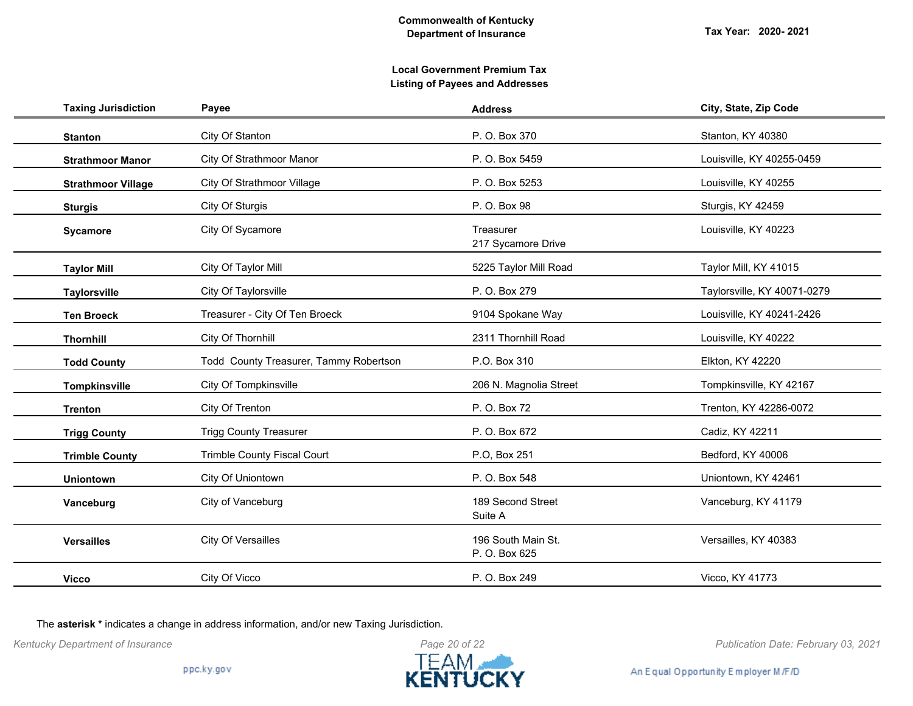**Tax Year: 2020- 2021**

## **Local Government Premium Tax Listing of Payees and Addresses**

| <b>Taxing Jurisdiction</b> | Payee                                  | <b>Address</b>                      | City, State, Zip Code       |
|----------------------------|----------------------------------------|-------------------------------------|-----------------------------|
| <b>Stanton</b>             | City Of Stanton                        | P. O. Box 370                       | Stanton, KY 40380           |
| <b>Strathmoor Manor</b>    | City Of Strathmoor Manor               | P. O. Box 5459                      | Louisville, KY 40255-0459   |
| <b>Strathmoor Village</b>  | City Of Strathmoor Village             | P. O. Box 5253                      | Louisville, KY 40255        |
| <b>Sturgis</b>             | City Of Sturgis                        | P. O. Box 98                        | Sturgis, KY 42459           |
| <b>Sycamore</b>            | City Of Sycamore                       | Treasurer<br>217 Sycamore Drive     | Louisville, KY 40223        |
| <b>Taylor Mill</b>         | City Of Taylor Mill                    | 5225 Taylor Mill Road               | Taylor Mill, KY 41015       |
| Taylorsville               | City Of Taylorsville                   | P. O. Box 279                       | Taylorsville, KY 40071-0279 |
| <b>Ten Broeck</b>          | Treasurer - City Of Ten Broeck         | 9104 Spokane Way                    | Louisville, KY 40241-2426   |
| <b>Thornhill</b>           | City Of Thornhill                      | 2311 Thornhill Road                 | Louisville, KY 40222        |
| <b>Todd County</b>         | Todd County Treasurer, Tammy Robertson | P.O. Box 310                        | Elkton, KY 42220            |
| <b>Tompkinsville</b>       | City Of Tompkinsville                  | 206 N. Magnolia Street              | Tompkinsville, KY 42167     |
| <b>Trenton</b>             | City Of Trenton                        | P. O. Box 72                        | Trenton, KY 42286-0072      |
| <b>Trigg County</b>        | <b>Trigg County Treasurer</b>          | P. O. Box 672                       | Cadiz, KY 42211             |
| <b>Trimble County</b>      | Trimble County Fiscal Court            | P.O, Box 251                        | Bedford, KY 40006           |
| <b>Uniontown</b>           | City Of Uniontown                      | P. O. Box 548                       | Uniontown, KY 42461         |
| Vanceburg                  | City of Vanceburg                      | 189 Second Street<br>Suite A        | Vanceburg, KY 41179         |
| <b>Versailles</b>          | <b>City Of Versailles</b>              | 196 South Main St.<br>P. O. Box 625 | Versailles, KY 40383        |
| <b>Vicco</b>               | City Of Vicco                          | P. O. Box 249                       | Vicco, KY 41773             |
|                            |                                        |                                     |                             |

The **asterisk \*** indicates a change in address information, and/or new Taxing Jurisdiction.



*Kentucky Department of Insurance Publication Date: February 03, 2021*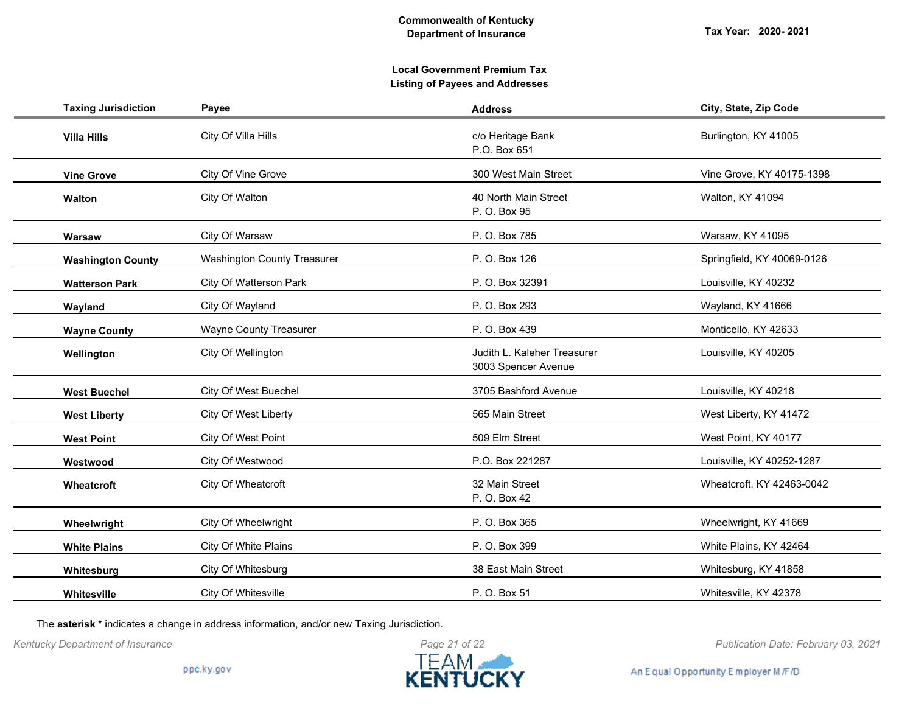| <b>Taxing Jurisdiction</b> | Payee                              | <b>Address</b>                                     | City, State, Zip Code      |
|----------------------------|------------------------------------|----------------------------------------------------|----------------------------|
| <b>Villa Hills</b>         | City Of Villa Hills                | c/o Heritage Bank<br>P.O. Box 651                  | Burlington, KY 41005       |
| <b>Vine Grove</b>          | City Of Vine Grove                 | 300 West Main Street                               | Vine Grove, KY 40175-1398  |
| Walton                     | City Of Walton                     | 40 North Main Street<br>P. O. Box 95               | Walton, KY 41094           |
| Warsaw                     | City Of Warsaw                     | P. O. Box 785                                      | Warsaw, KY 41095           |
| <b>Washington County</b>   | <b>Washington County Treasurer</b> | P. O. Box 126                                      | Springfield, KY 40069-0126 |
| <b>Watterson Park</b>      | City Of Watterson Park             | P. O. Box 32391                                    | Louisville, KY 40232       |
| Wayland                    | City Of Wayland                    | P. O. Box 293                                      | Wayland, KY 41666          |
| <b>Wayne County</b>        | <b>Wayne County Treasurer</b>      | P. O. Box 439                                      | Monticello, KY 42633       |
| Wellington                 | City Of Wellington                 | Judith L. Kaleher Treasurer<br>3003 Spencer Avenue | Louisville, KY 40205       |
| <b>West Buechel</b>        | City Of West Buechel               | 3705 Bashford Avenue                               | Louisville, KY 40218       |
| <b>West Liberty</b>        | <b>City Of West Liberty</b>        | 565 Main Street                                    | West Liberty, KY 41472     |
| <b>West Point</b>          | City Of West Point                 | 509 Elm Street                                     | West Point, KY 40177       |
| Westwood                   | City Of Westwood                   | P.O. Box 221287                                    | Louisville, KY 40252-1287  |
| Wheatcroft                 | City Of Wheatcroft                 | 32 Main Street<br>P. O. Box 42                     | Wheatcroft, KY 42463-0042  |
| Wheelwright                | City Of Wheelwright                | P. O. Box 365                                      | Wheelwright, KY 41669      |
| <b>White Plains</b>        | City Of White Plains               | P. O. Box 399                                      | White Plains, KY 42464     |
| Whitesburg                 | City Of Whitesburg                 | 38 East Main Street                                | Whitesburg, KY 41858       |
| Whitesville                | City Of Whitesville                | P. O. Box 51                                       | Whitesville, KY 42378      |

The **asterisk \*** indicates a change in address information, and/or new Taxing Jurisdiction.



*Kentucky Department of Insurance Publication Date: February 03, 2021*